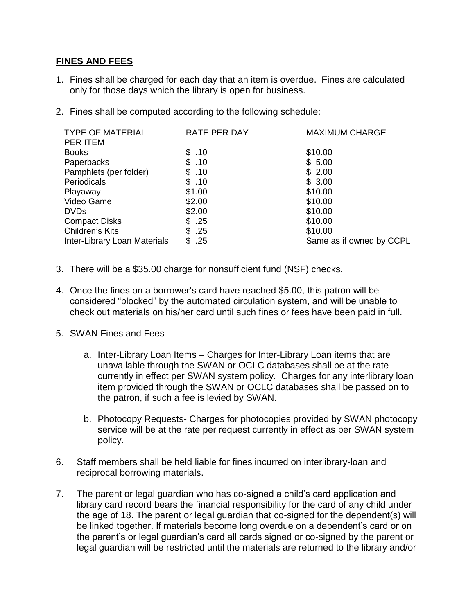## **FINES AND FEES**

- 1. Fines shall be charged for each day that an item is overdue. Fines are calculated only for those days which the library is open for business.
- 2. Fines shall be computed according to the following schedule:

| <b>TYPE OF MATERIAL</b>      | RATE PER DAY | <b>MAXIMUM CHARGE</b>    |
|------------------------------|--------------|--------------------------|
| <b>PER ITEM</b>              |              |                          |
| <b>Books</b>                 | \$.10        | \$10.00                  |
| Paperbacks                   | \$.10        | \$5.00                   |
| Pamphlets (per folder)       | \$.10        | \$2.00                   |
| Periodicals                  | \$.10        | \$3.00                   |
| Playaway                     | \$1.00       | \$10.00                  |
| Video Game                   | \$2.00       | \$10.00                  |
| <b>DVDs</b>                  | \$2.00       | \$10.00                  |
| <b>Compact Disks</b>         | \$.25        | \$10.00                  |
| Children's Kits              | \$.25        | \$10.00                  |
| Inter-Library Loan Materials | .25          | Same as if owned by CCPL |

- 3. There will be a \$35.00 charge for nonsufficient fund (NSF) checks.
- 4. Once the fines on a borrower's card have reached \$5.00, this patron will be considered "blocked" by the automated circulation system, and will be unable to check out materials on his/her card until such fines or fees have been paid in full.
- 5. SWAN Fines and Fees
	- a. Inter-Library Loan Items Charges for Inter-Library Loan items that are unavailable through the SWAN or OCLC databases shall be at the rate currently in effect per SWAN system policy. Charges for any interlibrary loan item provided through the SWAN or OCLC databases shall be passed on to the patron, if such a fee is levied by SWAN.
	- b. Photocopy Requests- Charges for photocopies provided by SWAN photocopy service will be at the rate per request currently in effect as per SWAN system policy.
- 6. Staff members shall be held liable for fines incurred on interlibrary-loan and reciprocal borrowing materials.
- 7. The parent or legal guardian who has co-signed a child's card application and library card record bears the financial responsibility for the card of any child under the age of 18. The parent or legal guardian that co-signed for the dependent(s) will be linked together. If materials become long overdue on a dependent's card or on the parent's or legal guardian's card all cards signed or co-signed by the parent or legal guardian will be restricted until the materials are returned to the library and/or